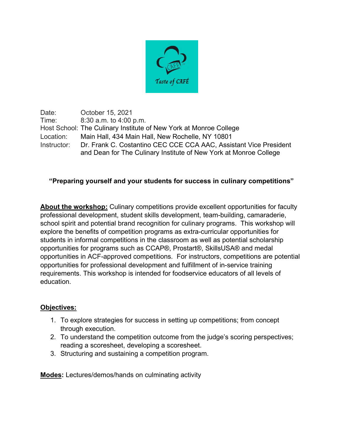

Date: October 15, 2021 Time: 8:30 a.m. to 4:00 p.m. Host School: The Culinary Institute of New York at Monroe College Location: Main Hall, 434 Main Hall, New Rochelle, NY 10801 Instructor: Dr. Frank C. Costantino CEC CCE CCA AAC, Assistant Vice President and Dean for The Culinary Institute of New York at Monroe College

## **"Preparing yourself and your students for success in culinary competitions"**

**About the workshop:** Culinary competitions provide excellent opportunities for faculty professional development, student skills development, team-building, camaraderie, school spirit and potential brand recognition for culinary programs. This workshop will explore the benefits of competition programs as extra-curricular opportunities for students in informal competitions in the classroom as well as potential scholarship opportunities for programs such as CCAP®, Prostart®, SkillsUSA® and medal opportunities in ACF-approved competitions. For instructors, competitions are potential opportunities for professional development and fulfillment of in-service training requirements. This workshop is intended for foodservice educators of all levels of education.

## **Objectives:**

- 1. To explore strategies for success in setting up competitions; from concept through execution.
- 2. To understand the competition outcome from the judge's scoring perspectives; reading a scoresheet, developing a scoresheet.
- 3. Structuring and sustaining a competition program.

**Modes:** Lectures/demos/hands on culminating activity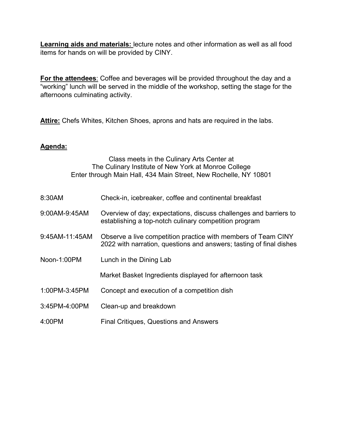**Learning aids and materials:** lecture notes and other information as well as all food items for hands on will be provided by CINY.

**For the attendees**: Coffee and beverages will be provided throughout the day and a "working" lunch will be served in the middle of the workshop, setting the stage for the afternoons culminating activity.

**Attire:** Chefs Whites, Kitchen Shoes, aprons and hats are required in the labs.

## **Agenda:**

| Class meets in the Culinary Arts Center at<br>The Culinary Institute of New York at Monroe College<br>Enter through Main Hall, 434 Main Street, New Rochelle, NY 10801 |                                                                                                                                      |
|------------------------------------------------------------------------------------------------------------------------------------------------------------------------|--------------------------------------------------------------------------------------------------------------------------------------|
| 8:30AM                                                                                                                                                                 | Check-in, icebreaker, coffee and continental breakfast                                                                               |
| 9:00AM-9:45AM                                                                                                                                                          | Overview of day; expectations, discuss challenges and barriers to<br>establishing a top-notch culinary competition program           |
| 9:45AM-11:45AM                                                                                                                                                         | Observe a live competition practice with members of Team CINY<br>2022 with narration, questions and answers; tasting of final dishes |
| Noon-1:00PM                                                                                                                                                            | Lunch in the Dining Lab                                                                                                              |
|                                                                                                                                                                        | Market Basket Ingredients displayed for afternoon task                                                                               |
| 1:00PM-3:45PM                                                                                                                                                          | Concept and execution of a competition dish                                                                                          |
| 3:45PM-4:00PM                                                                                                                                                          | Clean-up and breakdown                                                                                                               |
| 4:00PM                                                                                                                                                                 | <b>Final Critiques, Questions and Answers</b>                                                                                        |